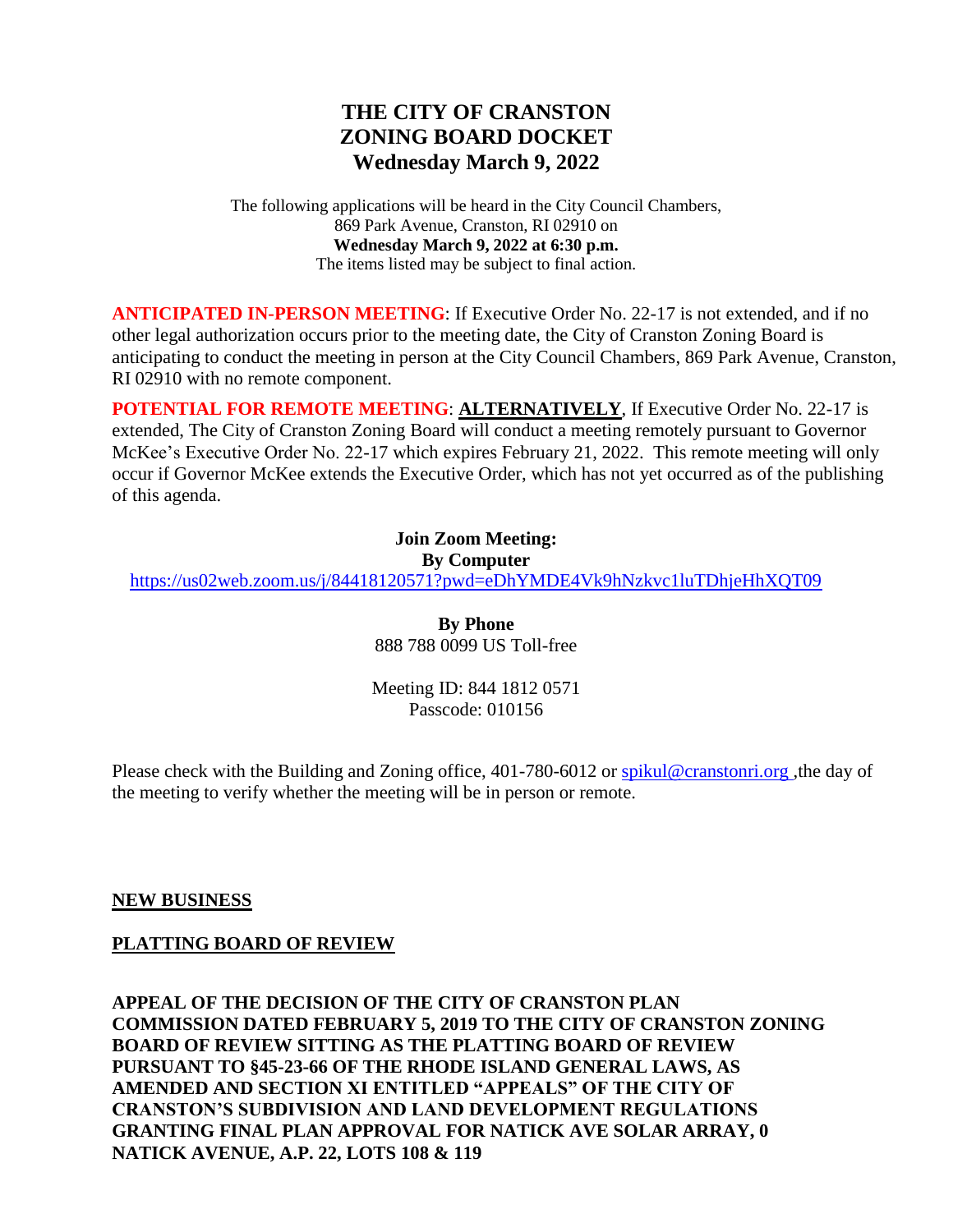# **THE CITY OF CRANSTON ZONING BOARD DOCKET Wednesday March 9, 2022**

The following applications will be heard in the City Council Chambers, 869 Park Avenue, Cranston, RI 02910 on **Wednesday March 9, 2022 at 6:30 p.m.** The items listed may be subject to final action.

**ANTICIPATED IN-PERSON MEETING**: If Executive Order No. 22-17 is not extended, and if no other legal authorization occurs prior to the meeting date, the City of Cranston Zoning Board is anticipating to conduct the meeting in person at the City Council Chambers, 869 Park Avenue, Cranston, RI 02910 with no remote component.

**POTENTIAL FOR REMOTE MEETING**: **ALTERNATIVELY**, If Executive Order No. 22-17 is extended, The City of Cranston Zoning Board will conduct a meeting remotely pursuant to Governor McKee's Executive Order No. 22-17 which expires February 21, 2022. This remote meeting will only occur if Governor McKee extends the Executive Order, which has not yet occurred as of the publishing of this agenda.

> **Join Zoom Meeting: By Computer**

<https://us02web.zoom.us/j/84418120571?pwd=eDhYMDE4Vk9hNzkvc1luTDhjeHhXQT09>

**By Phone** 888 788 0099 US Toll-free

Meeting ID: 844 1812 0571 Passcode: 010156

Please check with the Building and Zoning office, 401-780-6012 or [spikul@cranstonri.org](mailto:spikul@cranstonri.org) ,the day of the meeting to verify whether the meeting will be in person or remote.

#### **NEW BUSINESS**

#### **PLATTING BOARD OF REVIEW**

**APPEAL OF THE DECISION OF THE CITY OF CRANSTON PLAN COMMISSION DATED FEBRUARY 5, 2019 TO THE CITY OF CRANSTON ZONING BOARD OF REVIEW SITTING AS THE PLATTING BOARD OF REVIEW PURSUANT TO §45-23-66 OF THE RHODE ISLAND GENERAL LAWS, AS AMENDED AND SECTION XI ENTITLED "APPEALS" OF THE CITY OF CRANSTON'S SUBDIVISION AND LAND DEVELOPMENT REGULATIONS GRANTING FINAL PLAN APPROVAL FOR NATICK AVE SOLAR ARRAY, 0 NATICK AVENUE, A.P. 22, LOTS 108 & 119**